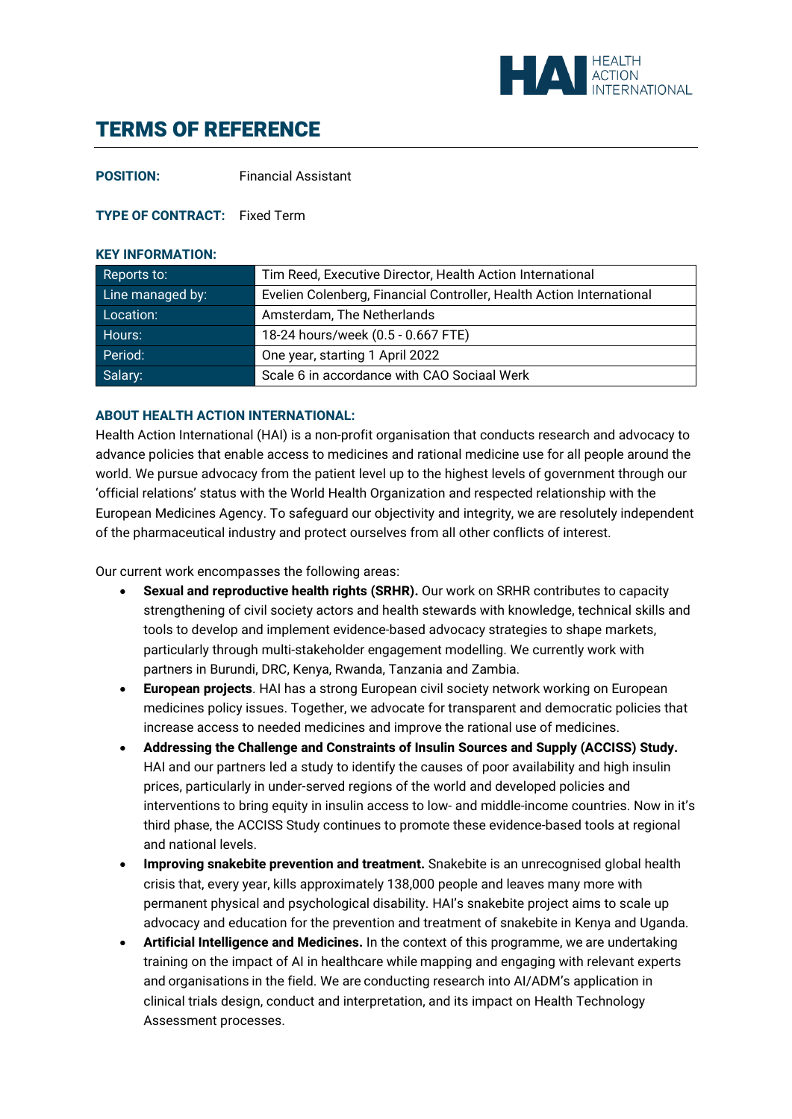

# TERMS OF REFERENCE

**POSITION:** Financial Assistant

### **TYPE OF CONTRACT:** Fixed Term

#### **KEY INFORMATION:**

| Reports to:      | Tim Reed, Executive Director, Health Action International            |
|------------------|----------------------------------------------------------------------|
| Line managed by: | Evelien Colenberg, Financial Controller, Health Action International |
| Location:        | Amsterdam, The Netherlands                                           |
| Hours:           | 18-24 hours/week (0.5 - 0.667 FTE)                                   |
| Period:          | One year, starting 1 April 2022                                      |
| Salary:          | Scale 6 in accordance with CAO Sociaal Werk                          |

#### **ABOUT HEALTH ACTION INTERNATIONAL:**

Health Action International (HAI) is a non-profit organisation that conducts research and advocacy to advance policies that enable access to medicines and rational medicine use for all people around the world. We pursue advocacy from the patient level up to the highest levels of government through our 'official relations' status with the World Health Organization and respected relationship with the European Medicines Agency. To safeguard our objectivity and integrity, we are resolutely independent of the pharmaceutical industry and protect ourselves from all other conflicts of interest.

Our current work encompasses the following areas:

- **Sexual and reproductive health rights (SRHR).** Our work on SRHR contributes to capacity strengthening of civil society actors and health stewards with knowledge, technical skills and tools to develop and implement evidence-based advocacy strategies to shape markets, particularly through multi-stakeholder engagement modelling. We currently work with partners in Burundi, DRC, Kenya, Rwanda, Tanzania and Zambia.
- **European projects**. HAI has a strong European civil society network working on European medicines policy issues. Together, we advocate for transparent and democratic policies that increase access to needed medicines and improve the rational use of medicines.
- **Addressing the Challenge and Constraints of Insulin Sources and Supply (ACCISS) Study.** HAI and our partners led a study to identify the causes of poor availability and high insulin prices, particularly in under-served regions of the world and developed policies and interventions to bring equity in insulin access to low- and middle-income countries. Now in it's third phase, the ACCISS Study continues to promote these evidence-based tools at regional and national levels.
- **Improving snakebite prevention and treatment.** Snakebite is an unrecognised global health crisis that, every year, kills approximately 138,000 people and leaves many more with permanent physical and psychological disability. HAI's snakebite project aims to scale up advocacy and education for the prevention and treatment of snakebite in Kenya and Uganda.
- **Artificial Intelligence and Medicines.** In the context of this programme, we are undertaking training on the impact of AI in healthcare while mapping and engaging with relevant experts and organisations in the field. We are conducting research into AI/ADM's application in clinical trials design, conduct and interpretation, and its impact on Health Technology Assessment processes.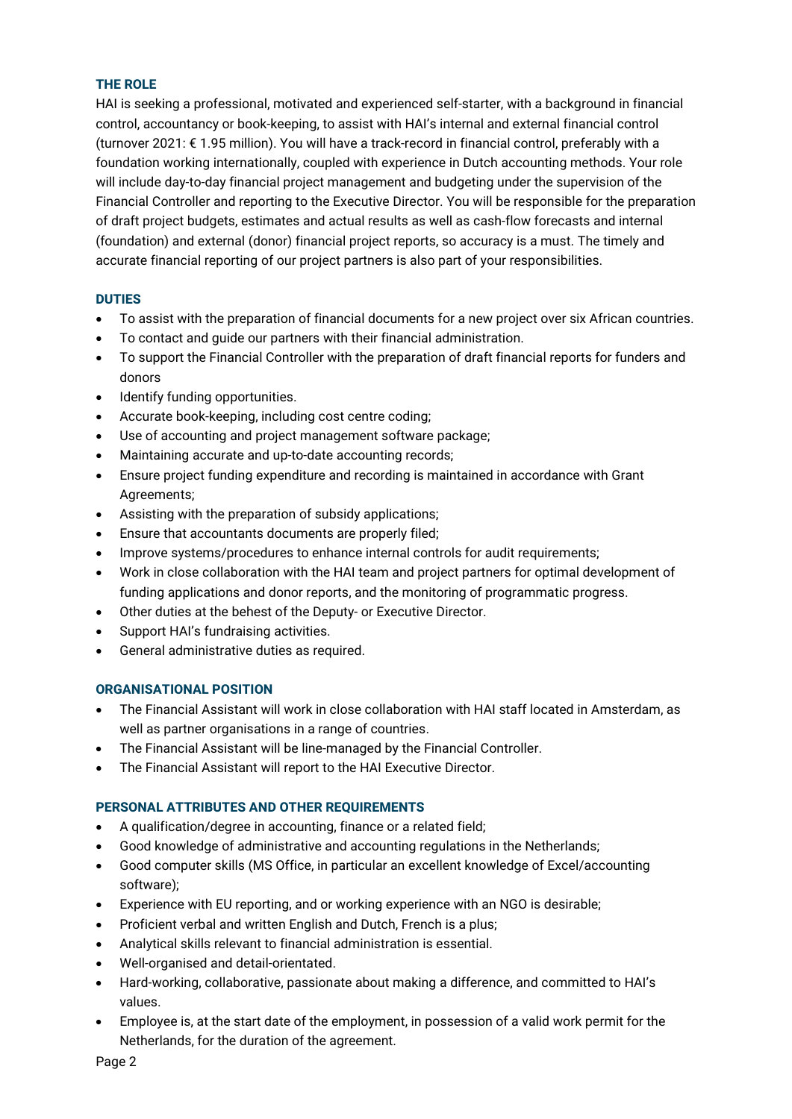# **THE ROLE**

HAI is seeking a professional, motivated and experienced self-starter, with a background in financial control, accountancy or book-keeping, to assist with HAI's internal and external financial control (turnover 2021: € 1.95 million). You will have a track-record in financial control, preferably with a foundation working internationally, coupled with experience in Dutch accounting methods. Your role will include day-to-day financial project management and budgeting under the supervision of the Financial Controller and reporting to the Executive Director. You will be responsible for the preparation of draft project budgets, estimates and actual results as well as cash-flow forecasts and internal (foundation) and external (donor) financial project reports, so accuracy is a must. The timely and accurate financial reporting of our project partners is also part of your responsibilities.

# **DUTIES**

- To assist with the preparation of financial documents for a new project over six African countries.
- To contact and guide our partners with their financial administration.
- To support the Financial Controller with the preparation of draft financial reports for funders and donors
- Identify funding opportunities.
- Accurate book-keeping, including cost centre coding;
- Use of accounting and project management software package;
- Maintaining accurate and up-to-date accounting records;
- Ensure project funding expenditure and recording is maintained in accordance with Grant Agreements;
- Assisting with the preparation of subsidy applications;
- Ensure that accountants documents are properly filed;
- Improve systems/procedures to enhance internal controls for audit requirements;
- Work in close collaboration with the HAI team and project partners for optimal development of funding applications and donor reports, and the monitoring of programmatic progress.
- Other duties at the behest of the Deputy- or Executive Director.
- Support HAI's fundraising activities.
- General administrative duties as required.

## **ORGANISATIONAL POSITION**

- The Financial Assistant will work in close collaboration with HAI staff located in Amsterdam, as well as partner organisations in a range of countries.
- The Financial Assistant will be line-managed by the Financial Controller.
- The Financial Assistant will report to the HAI Executive Director.

# **PERSONAL ATTRIBUTES AND OTHER REQUIREMENTS**

- A qualification/degree in accounting, finance or a related field;
- Good knowledge of administrative and accounting regulations in the Netherlands;
- Good computer skills (MS Office, in particular an excellent knowledge of Excel/accounting software);
- Experience with EU reporting, and or working experience with an NGO is desirable;
- Proficient verbal and written English and Dutch, French is a plus;
- Analytical skills relevant to financial administration is essential.
- Well-organised and detail-orientated.
- Hard-working, collaborative, passionate about making a difference, and committed to HAI's values.
- Employee is, at the start date of the employment, in possession of a valid work permit for the Netherlands, for the duration of the agreement.